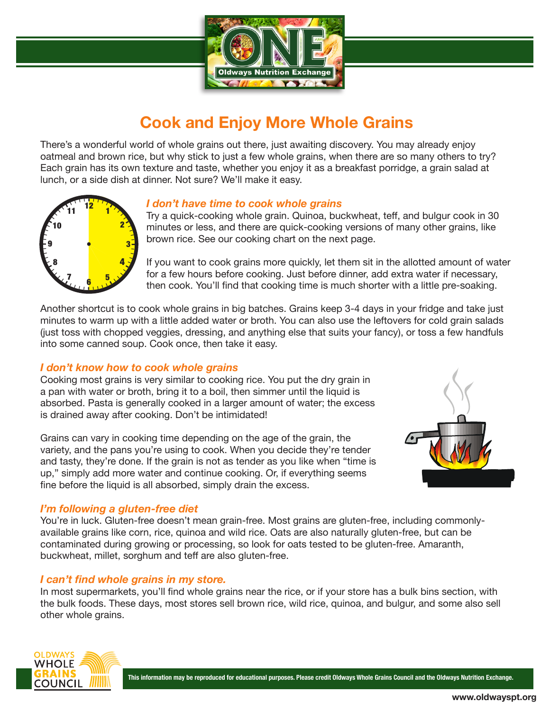

# **Cook and Enjoy More Whole Grains**

There's a wonderful world of whole grains out there, just awaiting discovery. You may already enjoy oatmeal and brown rice, but why stick to just a few whole grains, when there are so many others to try? Each grain has its own texture and taste, whether you enjoy it as a breakfast porridge, a grain salad at lunch, or a side dish at dinner. Not sure? We'll make it easy.



### *I don't have time to cook whole grains*

Try a quick-cooking whole grain. Quinoa, buckwheat, teff, and bulgur cook in 30 minutes or less, and there are quick-cooking versions of many other grains, like brown rice. See our cooking chart on the next page.

If you want to cook grains more quickly, let them sit in the allotted amount of water for a few hours before cooking. Just before dinner, add extra water if necessary, then cook. You'll find that cooking time is much shorter with a little pre-soaking.

Another shortcut is to cook whole grains in big batches. Grains keep 3-4 days in your fridge and take just minutes to warm up with a little added water or broth. You can also use the leftovers for cold grain salads (just toss with chopped veggies, dressing, and anything else that suits your fancy), or toss a few handfuls into some canned soup. Cook once, then take it easy.

#### *I don't know how to cook whole grains*

Cooking most grains is very similar to cooking rice. You put the dry grain in a pan with water or broth, bring it to a boil, then simmer until the liquid is absorbed. Pasta is generally cooked in a larger amount of water; the excess is drained away after cooking. Don't be intimidated!

Grains can vary in cooking time depending on the age of the grain, the variety, and the pans you're using to cook. When you decide they're tender and tasty, they're done. If the grain is not as tender as you like when "time is up," simply add more water and continue cooking. Or, if everything seems fine before the liquid is all absorbed, simply drain the excess.



You're in luck. Gluten-free doesn't mean grain-free. Most grains are gluten-free, including commonlyavailable grains like corn, rice, quinoa and wild rice. Oats are also naturally gluten-free, but can be contaminated during growing or processing, so look for oats tested to be gluten-free. Amaranth, buckwheat, millet, sorghum and teff are also gluten-free.

## *I can't find whole grains in my store.*

In most supermarkets, you'll find whole grains near the rice, or if your store has a bulk bins section, with the bulk foods. These days, most stores sell brown rice, wild rice, quinoa, and bulgur, and some also sell other whole grains.